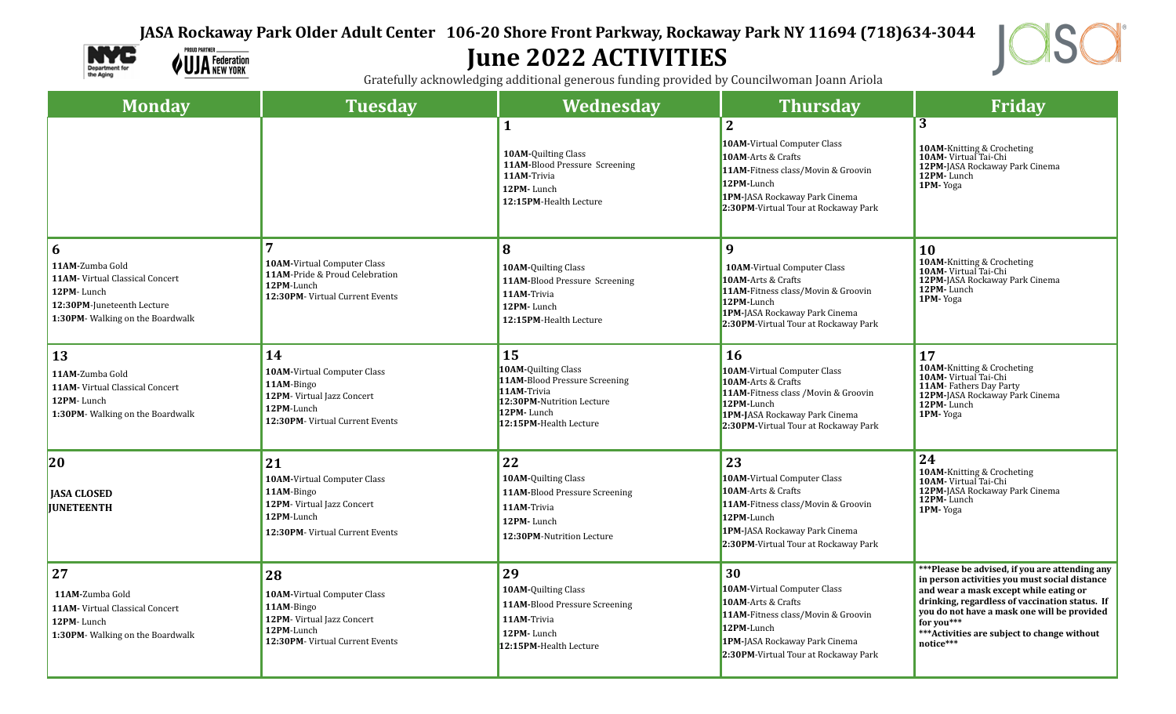## **JASA Rockaway Park Older Adult Center 106-20 Shore Front Parkway, Rockaway Park NY 11694 (718)634-3044**



**PROUD PARTNER. VUJA** Federation

## **June 2022 ACTIVITIES**



Gratefully acknowledging additional generous funding provided by Councilwoman Joann Ariola

| <b>Monday</b>                                                                                                                                  | <b>Tuesday</b>                                                                                                                 | Wednesday                                                                                                                                             | <b>Thursday</b>                                                                                                                                                                                  | <b>Friday</b>                                                                                                                                                                                                                                                                                                            |
|------------------------------------------------------------------------------------------------------------------------------------------------|--------------------------------------------------------------------------------------------------------------------------------|-------------------------------------------------------------------------------------------------------------------------------------------------------|--------------------------------------------------------------------------------------------------------------------------------------------------------------------------------------------------|--------------------------------------------------------------------------------------------------------------------------------------------------------------------------------------------------------------------------------------------------------------------------------------------------------------------------|
|                                                                                                                                                |                                                                                                                                | $\mathbf{1}$<br><b>10AM-Ouilting Class</b><br>11AM-Blood Pressure Screening<br>11AM-Trivia<br>12PM-Lunch<br>12:15PM-Health Lecture                    | $\overline{2}$<br>10AM-Virtual Computer Class<br>10AM-Arts & Crafts<br>11AM-Fitness class/Movin & Groovin<br>12PM-Lunch<br>1PM-JASA Rockaway Park Cinema<br>2:30PM-Virtual Tour at Rockaway Park | $\overline{3}$<br>10AM-Knitting & Crocheting<br><b>10AM-</b> Virtual Tai-Chi<br><b>12PM-</b> JASA Rockaway Park Cinema<br>12PM-Lunch<br>1PM-Yoga                                                                                                                                                                         |
| 6<br>11AM-Zumba Gold<br><b>11AM-</b> Virtual Classical Concert<br>12PM-Lunch<br>12:30PM-Juneteenth Lecture<br>1:30PM- Walking on the Boardwalk | <b>10AM-Virtual Computer Class</b><br>11AM-Pride & Proud Celebration<br>12PM-Lunch<br>12:30PM- Virtual Current Events          | 8<br><b>10AM-Quilting Class</b><br>11AM-Blood Pressure Screening<br>11AM-Trivia<br>12PM-Lunch<br>12:15PM-Health Lecture                               | 9<br><b>10AM-Virtual Computer Class</b><br>10AM-Arts & Crafts<br>11AM-Fitness class/Movin & Groovin<br>12PM-Lunch<br>1PM-JASA Rockaway Park Cinema<br>2:30PM-Virtual Tour at Rockaway Park       | 10<br>10AM-Knitting & Crocheting<br>10AM-Virtual Tai-Chi<br>12PM-JASA Rockaway Park Cinema<br>12PM-Lunch<br>1PM-Yoga                                                                                                                                                                                                     |
| <b>13</b><br>11AM-Zumba Gold<br>11AM- Virtual Classical Concert<br>12PM-Lunch<br>1:30PM- Walking on the Boardwalk                              | 14<br>10AM-Virtual Computer Class<br>11AM-Bingo<br>12PM- Virtual Jazz Concert<br>12PM-Lunch<br>12:30PM- Virtual Current Events | 15<br><b>10AM-Ouilting Class</b><br>11AM-Blood Pressure Screening<br>11AM-Trivia<br>12:30PM-Nutrition Lecture<br>12PM-Lunch<br>12:15PM-Health Lecture | <b>16</b><br>10AM-Virtual Computer Class<br>10AM-Arts & Crafts<br>11AM-Fitness class / Movin & Groovin<br>12PM-Lunch<br>1PM-JASA Rockaway Park Cinema<br>2:30PM-Virtual Tour at Rockaway Park    | 17<br>10AM-Knitting & Crocheting<br>10AM-Virtual Tai-Chi<br>11AM-Fathers Day Party<br>12PM-JASA Rockaway Park Cinema<br>12PM-Lunch<br>1PM-Yoga                                                                                                                                                                           |
| 20<br><b>JASA CLOSED</b><br><b>IUNETEENTH</b>                                                                                                  | 21<br>10AM-Virtual Computer Class<br>11AM-Bingo<br>12PM-Virtual Jazz Concert<br>12PM-Lunch<br>12:30PM- Virtual Current Events  | 22<br>10AM-Quilting Class<br>11AM-Blood Pressure Screening<br>11AM-Trivia<br>12PM-Lunch<br>12:30PM-Nutrition Lecture                                  | 23<br><b>10AM-Virtual Computer Class</b><br>10AM-Arts & Crafts<br>11AM-Fitness class/Movin & Groovin<br>12PM-Lunch<br>1PM-JASA Rockaway Park Cinema<br>2:30PM-Virtual Tour at Rockaway Park      | 24<br>10AM-Knitting & Crocheting<br><b>10AM-</b> Virtual Tai-Chi<br><b>12PM-JASA Rockaway Park Cinema</b><br>12PM-Lunch<br>1PM-Yoga                                                                                                                                                                                      |
| 27<br>11AM-Zumba Gold<br>11AM- Virtual Classical Concert<br>12PM-Lunch<br>1:30PM- Walking on the Boardwalk                                     | 28<br>10AM-Virtual Computer Class<br>11AM-Bingo<br>12PM-Virtual Jazz Concert<br>12PM-Lunch<br>12:30PM- Virtual Current Events  | 29<br>10AM-Quilting Class<br>11AM-Blood Pressure Screening<br>11AM-Trivia<br>12PM-Lunch<br>12:15PM-Health Lecture                                     | 30<br><b>10AM-Virtual Computer Class</b><br>10AM-Arts & Crafts<br>11AM-Fitness class/Movin & Groovin<br>12PM-Lunch<br>1PM-JASA Rockaway Park Cinema<br>2:30PM-Virtual Tour at Rockaway Park      | ***Please be advised, if you are attending any<br>in person activities you must social distance<br>and wear a mask except while eating or<br>drinking, regardless of vaccination status. If<br>you do not have a mask one will be provided<br>for you $***$<br>*** Activities are subject to change without<br>notice*** |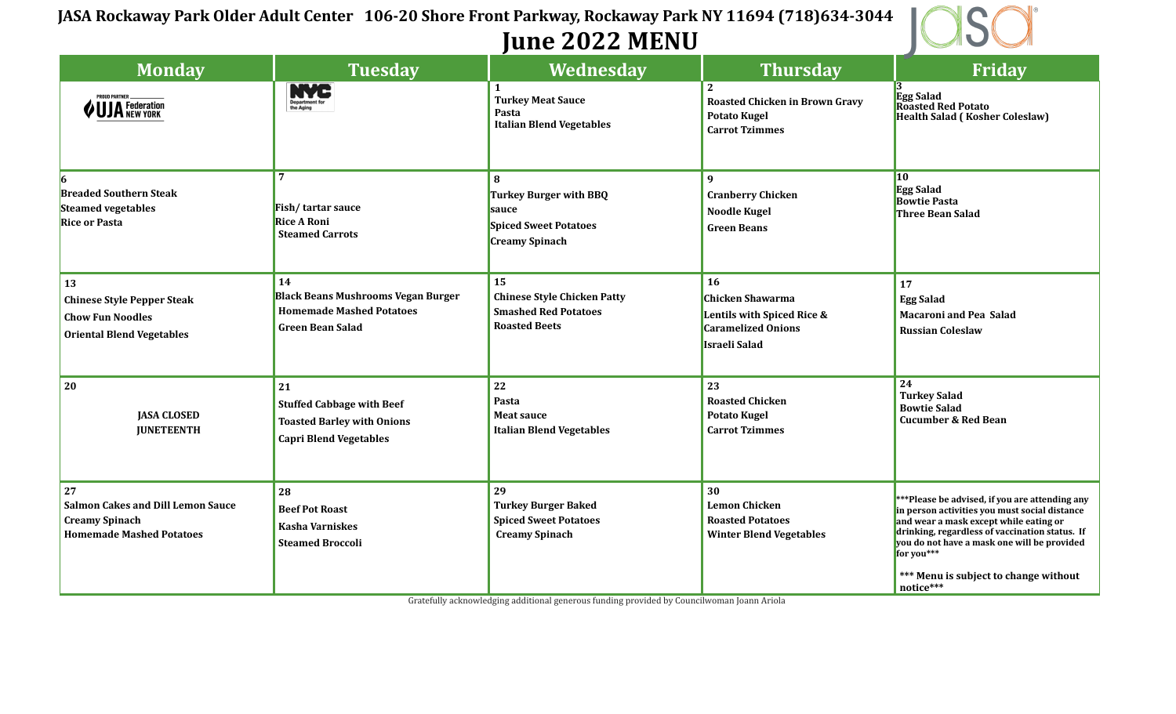## **JASA Rockaway Park Older Adult Center 106-20 Shore Front Parkway, Rockaway Park NY 11694 (718)634-3044 June 2022 MENU**



| <b>Monday</b>                                                                                                 | <b>Tuesday</b>                                                                                                | Wednesday                                                                                       | <b>Thursday</b>                                                                                           | Friday                                                                                                                                                                                                                                                                                                         |
|---------------------------------------------------------------------------------------------------------------|---------------------------------------------------------------------------------------------------------------|-------------------------------------------------------------------------------------------------|-----------------------------------------------------------------------------------------------------------|----------------------------------------------------------------------------------------------------------------------------------------------------------------------------------------------------------------------------------------------------------------------------------------------------------------|
| <b>PROUD PARTNER</b><br><b>UJA</b> Federation                                                                 | Department for<br>the Aging                                                                                   | 1<br><b>Turkey Meat Sauce</b><br>Pasta<br><b>Italian Blend Vegetables</b>                       | $\mathbf{2}$<br><b>Roasted Chicken in Brown Gravy</b><br><b>Potato Kugel</b><br><b>Carrot Tzimmes</b>     | Egg Salad<br>Roasted Red Potato<br><b>Health Salad (Kosher Coleslaw)</b>                                                                                                                                                                                                                                       |
| 16<br><b>Breaded Southern Steak</b><br><b>Steamed vegetables</b><br><b>Rice or Pasta</b>                      | Fish/tartar sauce<br><b>Rice A Roni</b><br><b>Steamed Carrots</b>                                             | 8<br>Turkey Burger with BBQ<br>sauce<br><b>Spiced Sweet Potatoes</b><br><b>Creamy Spinach</b>   | $\mathbf{q}$<br><b>Cranberry Chicken</b><br><b>Noodle Kugel</b><br><b>Green Beans</b>                     | $\vert$ 10<br><b>Egg Salad</b><br><b>Bowtie Pasta</b><br><b>Three Bean Salad</b>                                                                                                                                                                                                                               |
| <b>13</b><br><b>Chinese Style Pepper Steak</b><br><b>Chow Fun Noodles</b><br><b>Oriental Blend Vegetables</b> | 14<br><b>Black Beans Mushrooms Vegan Burger</b><br><b>Homemade Mashed Potatoes</b><br><b>Green Bean Salad</b> | 15<br><b>Chinese Style Chicken Patty</b><br><b>Smashed Red Potatoes</b><br><b>Roasted Beets</b> | 16<br><b>Chicken Shawarma</b><br>Lentils with Spiced Rice &<br><b>Caramelized Onions</b><br>Israeli Salad | 17<br><b>Egg Salad</b><br><b>Macaroni and Pea Salad</b><br><b>Russian Coleslaw</b>                                                                                                                                                                                                                             |
| 20<br><b>JASA CLOSED</b><br><b>JUNETEENTH</b>                                                                 | 21<br><b>Stuffed Cabbage with Beef</b><br><b>Toasted Barley with Onions</b><br><b>Capri Blend Vegetables</b>  | 22<br>Pasta<br><b>Meat sauce</b><br><b>Italian Blend Vegetables</b>                             | 23<br><b>Roasted Chicken</b><br><b>Potato Kugel</b><br><b>Carrot Tzimmes</b>                              | $\overline{24}$<br><b>Turkey Salad</b><br><b>Bowtie Salad</b><br><b>Cucumber &amp; Red Bean</b>                                                                                                                                                                                                                |
| 27<br><b>Salmon Cakes and Dill Lemon Sauce</b><br><b>Creamy Spinach</b><br><b>Homemade Mashed Potatoes</b>    | 28<br><b>Beef Pot Roast</b><br><b>Kasha Varniskes</b><br><b>Steamed Broccoli</b>                              | 29<br><b>Turkey Burger Baked</b><br><b>Spiced Sweet Potatoes</b><br><b>Creamy Spinach</b>       | 30<br><b>Lemon Chicken</b><br><b>Roasted Potatoes</b><br><b>Winter Blend Vegetables</b>                   | ***Please be advised, if you are attending any<br>in person activities you must social distance<br>and wear a mask except while eating or<br>drinking, regardless of vaccination status. If<br>you do not have a mask one will be provided<br>for you***<br>*** Menu is subject to change without<br>notice*** |

Gratefully acknowledging additional generous funding provided by Councilwoman Joann Ariola